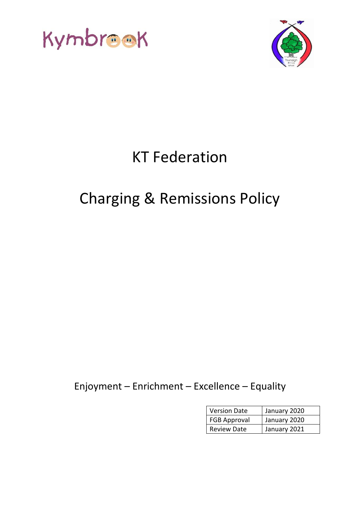



# KT Federation

## Charging & Remissions Policy

Enjoyment – Enrichment – Excellence – Equality

| <b>Version Date</b> | January 2020 |
|---------------------|--------------|
| <b>FGB Approval</b> | January 2020 |
| <b>Review Date</b>  | January 2021 |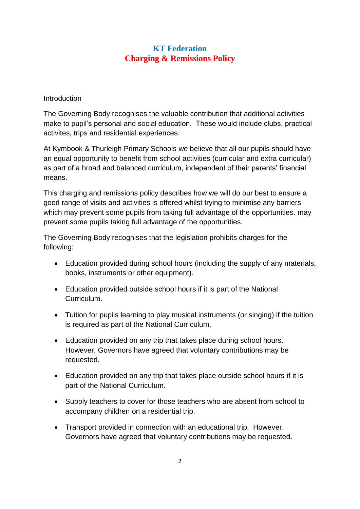## **KT Federation Charging & Remissions Policy**

#### **Introduction**

The Governing Body recognises the valuable contribution that additional activities make to pupil's personal and social education. These would include clubs, practical activites, trips and residential experiences.

At Kymbook & Thurleigh Primary Schools we believe that all our pupils should have an equal opportunity to benefit from school activities (curricular and extra curricular) as part of a broad and balanced curriculum, independent of their parents' financial means.

This charging and remissions policy describes how we will do our best to ensure a good range of visits and activities is offered whilst trying to minimise any barriers which may prevent some pupils from taking full advantage of the opportunities. may prevent some pupils taking full advantage of the opportunities.

The Governing Body recognises that the legislation prohibits charges for the following:

- Education provided during school hours (including the supply of any materials, books, instruments or other equipment).
- Education provided outside school hours if it is part of the National Curriculum.
- Tuition for pupils learning to play musical instruments (or singing) if the tuition is required as part of the National Curriculum.
- Education provided on any trip that takes place during school hours. However, Governors have agreed that voluntary contributions may be requested.
- Education provided on any trip that takes place outside school hours if it is part of the National Curriculum.
- Supply teachers to cover for those teachers who are absent from school to accompany children on a residential trip.
- Transport provided in connection with an educational trip. However, Governors have agreed that voluntary contributions may be requested.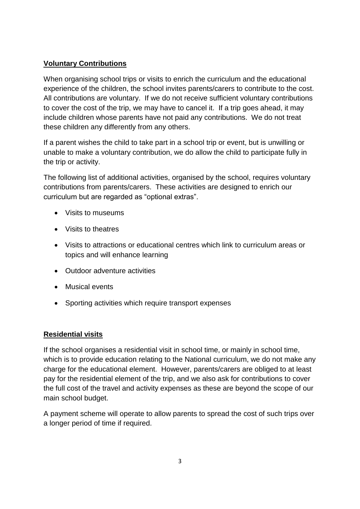#### **Voluntary Contributions**

When organising school trips or visits to enrich the curriculum and the educational experience of the children, the school invites parents/carers to contribute to the cost. All contributions are voluntary. If we do not receive sufficient voluntary contributions to cover the cost of the trip, we may have to cancel it. If a trip goes ahead, it may include children whose parents have not paid any contributions. We do not treat these children any differently from any others.

If a parent wishes the child to take part in a school trip or event, but is unwilling or unable to make a voluntary contribution, we do allow the child to participate fully in the trip or activity.

The following list of additional activities, organised by the school, requires voluntary contributions from parents/carers. These activities are designed to enrich our curriculum but are regarded as "optional extras".

- Visits to museums
- Visits to theatres
- Visits to attractions or educational centres which link to curriculum areas or topics and will enhance learning
- Outdoor adventure activities
- Musical events
- Sporting activities which require transport expenses

#### **Residential visits**

If the school organises a residential visit in school time, or mainly in school time, which is to provide education relating to the National curriculum, we do not make any charge for the educational element. However, parents/carers are obliged to at least pay for the residential element of the trip, and we also ask for contributions to cover the full cost of the travel and activity expenses as these are beyond the scope of our main school budget.

A payment scheme will operate to allow parents to spread the cost of such trips over a longer period of time if required.